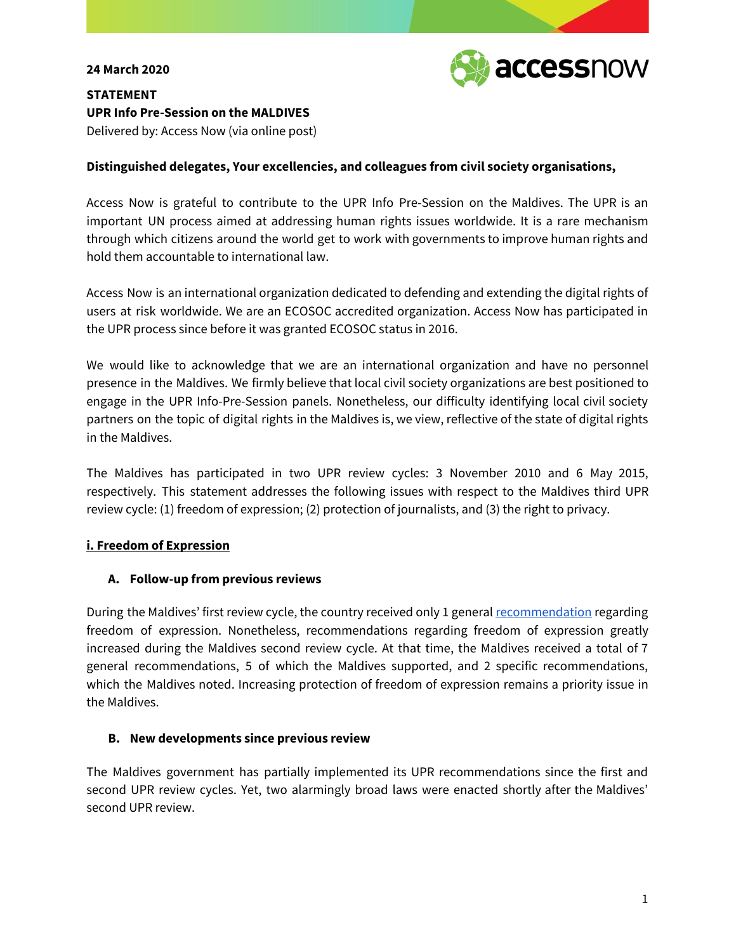#### **24 March 2020**



**STATEMENT UPR Info Pre-Session on the MALDIVES** Delivered by: Access Now (via online post)

### **Distinguished delegates, Your excellencies, and colleagues from civil society organisations,**

Access Now is grateful to contribute to the UPR Info Pre-Session on the Maldives. The UPR is an important UN process aimed at addressing human rights issues worldwide. It is a rare mechanism through which citizens around the world get to work with governments to improve human rights and hold them accountable to international law.

Access Now is an international organization dedicated to defending and extending the digital rights of users at risk worldwide. We are an ECOSOC accredited organization. Access Now has participated in the UPR process since before it was granted ECOSOC status in 2016.

We would like to acknowledge that we are an international organization and have no personnel presence in the Maldives. We firmly believe that local civil society organizations are best positioned to engage in the UPR Info-Pre-Session panels. Nonetheless, our difficulty identifying local civil society partners on the topic of digital rights in the Maldives is, we view, reflective of the state of digital rights in the Maldives.

The Maldives has participated in two UPR review cycles: 3 November 2010 and 6 May 2015, respectively. This statement addresses the following issues with respect to the Maldives third UPR review cycle: (1) freedom of expression; (2) protection of journalists, and (3) the right to privacy.

# **i. Freedom of Expression**

# **A. Follow-up from previous reviews**

During the Maldives' first review cycle, the country received only 1 general [recommendation](https://www.upr-info.org/database/) regarding freedom of expression. Nonetheless, recommendations regarding freedom of expression greatly increased during the Maldives second review cycle. At that time, the Maldives received a total of 7 general recommendations, 5 of which the Maldives supported, and 2 specific recommendations, which the Maldives noted. Increasing protection of freedom of expression remains a priority issue in the Maldives.

#### **B. New developments since previous review**

The Maldives government has partially implemented its UPR recommendations since the first and second UPR review cycles. Yet, two alarmingly broad laws were enacted shortly after the Maldives' second UPR review.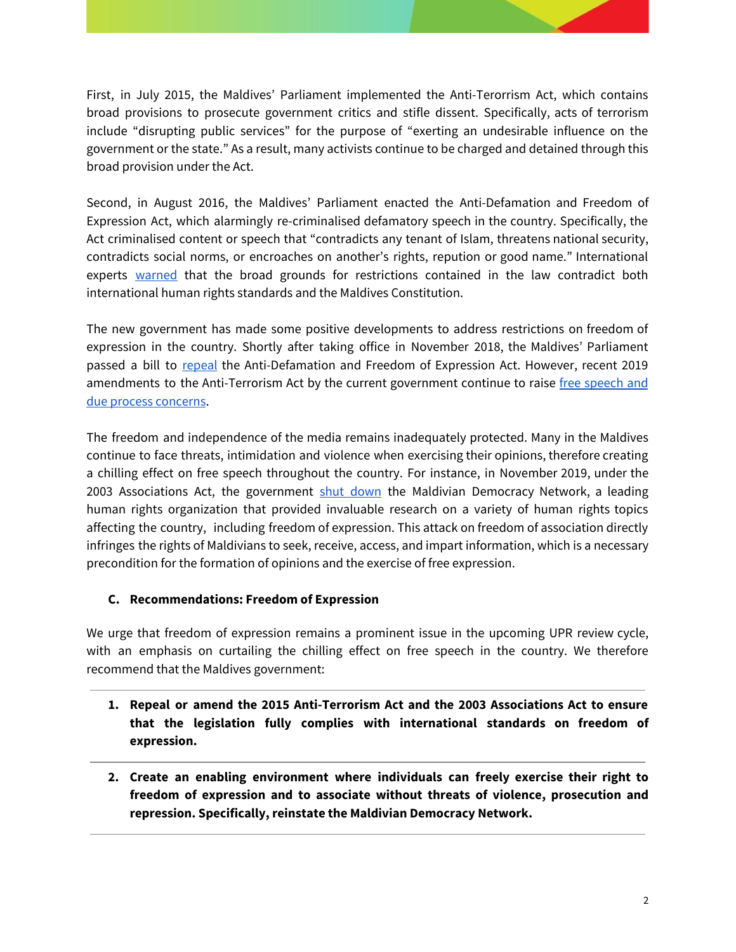First, in July 2015, the Maldives' Parliament implemented the Anti-Terorrism Act, which contains broad provisions to prosecute government critics and stifle dissent. Specifically, acts of terrorism include "disrupting public services" for the purpose of "exerting an undesirable influence on the government or the state." As a result, many activists continue to be charged and detained through this broad provision under the Act.

Second, in August 2016, the Maldives' Parliament enacted the Anti-Defamation and Freedom of Expression Act, which alarmingly re-criminalised defamatory speech in the country. Specifically, the Act criminalised content or speech that "contradicts any tenant of Islam, threatens national security, contradicts social norms, or encroaches on another's rights, repution or good name." International experts [warned](https://www.ohchr.org/EN/NewsEvents/Pages/DisplayNews.aspx?NewsID=20359&LangID=E) that the broad grounds for restrictions contained in the law contradict both international human rights standards and the Maldives Constitution.

The new government has made some positive developments to address restrictions on freedom of expression in the country. Shortly after taking office in November 2018, the Maldives' Parliament passed a bill to [repeal](https://monitor.civicus.org/updates/2019/01/30/criminal-defamation-law-repealed-those-expressing-critical-views-still-risk/) the Anti-Defamation and Freedom of Expression Act. However, recent 2019 amendments to the Anti-Terrorism Act by the current government continue to raise free [speech](https://www.civicus.org/documents/Maldives.JointUPRSubmission.pdf) and due process [concerns](https://www.civicus.org/documents/Maldives.JointUPRSubmission.pdf).

The freedom and independence of the media remains inadequately protected. Many in the Maldives continue to face threats, intimidation and violence when exercising their opinions, therefore creating a chilling effect on free speech throughout the country. For instance, in November 2019, under the 2003 Associations Act, the government shut [down](https://www.hrw.org/news/2019/10/11/maldives-human-rights-group-shut-down) the Maldivian Democracy Network, a leading human rights organization that provided invaluable research on a variety of human rights topics affecting the country, including freedom of expression. This attack on freedom of association directly infringes the rights of Maldivians to seek, receive, access, and impart information, which is a necessary precondition for the formation of opinions and the exercise of free expression.

# **C. Recommendations: Freedom of Expression**

We urge that freedom of expression remains a prominent issue in the upcoming UPR review cycle, with an emphasis on curtailing the chilling effect on free speech in the country. We therefore recommend that the Maldives government:

- **1. Repeal or amend the 2015 Anti-Terrorism Act and the 2003 Associations Act to ensure that the legislation fully complies with international standards on freedom of expression.**
- **2. Create an enabling environment where individuals can freely exercise their right to freedom of expression and to associate without threats of violence, prosecution and repression. Specifically, reinstate the Maldivian Democracy Network.**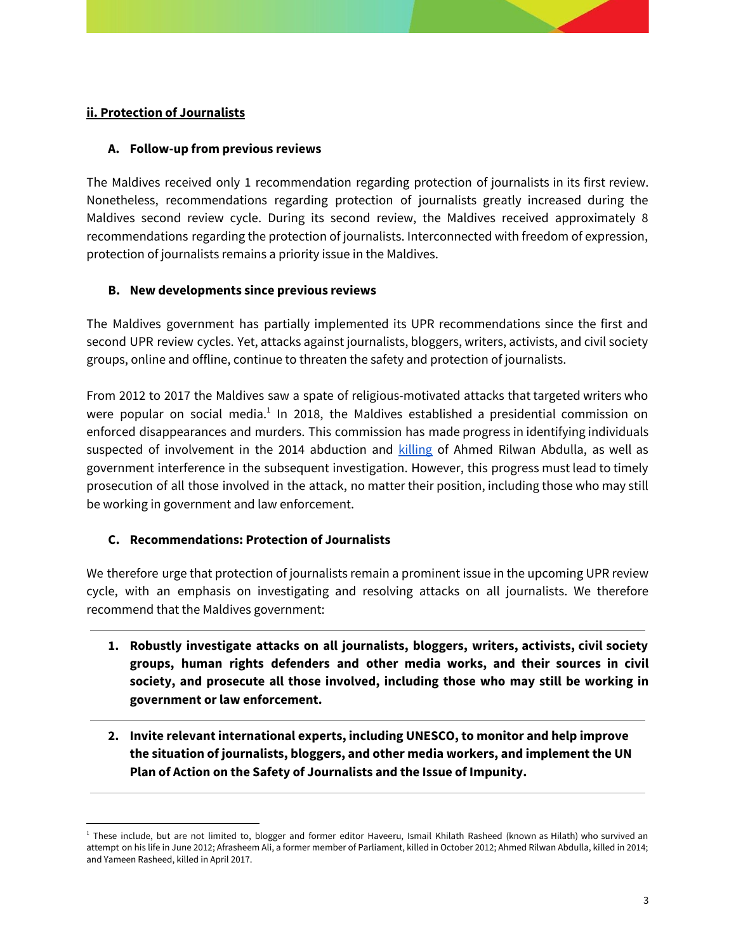# **ii. Protection of Journalists**

### **A. Follow-up from previous reviews**

The Maldives received only 1 recommendation regarding protection of journalists in its first review. Nonetheless, recommendations regarding protection of journalists greatly increased during the Maldives second review cycle. During its second review, the Maldives received approximately 8 recommendations regarding the protection of journalists. Interconnected with freedom of expression, protection of journalists remains a priority issue in the Maldives.

#### **B. New developments since previous reviews**

The Maldives government has partially implemented its UPR recommendations since the first and second UPR review cycles. Yet, attacks against journalists, bloggers, writers, activists, and civil society groups, online and offline, continue to threaten the safety and protection of journalists.

From 2012 to 2017 the Maldives saw a spate of religious-motivated attacks that targeted writers who were popular on social media.<sup>1</sup> In 2018, the Maldives established a presidential commission on enforced disappearances and murders. This commission has made progress in identifying individuals suspected of involvement in the 2014 abduction and [killing](https://wtop.com/asia/2019/09/commission-says-long-missing-maldivian-journalist-is-killed/) of Ahmed Rilwan Abdulla, as well as government interference in the subsequent investigation. However, this progress must lead to timely prosecution of all those involved in the attack, no matter their position, including those who may still be working in government and law enforcement.

# **C. Recommendations: Protection of Journalists**

We therefore urge that protection of journalists remain a prominent issue in the upcoming UPR review cycle, with an emphasis on investigating and resolving attacks on all journalists. We therefore recommend that the Maldives government:

- **1. Robustly investigate attacks on all journalists, bloggers, writers, activists, civil society groups, human rights defenders and other media works, and their sources in civil society, and prosecute all those involved, including those who may still be working in government or law enforcement.**
- **2. Invite relevant international experts, including UNESCO, to monitor and help improve the situation of journalists, bloggers, and other media workers, and implement the UN Plan of Action on the Safety of Journalists and the Issue of Impunity.**

<sup>&</sup>lt;sup>1</sup> These include, but are not limited to, blogger and former editor Haveeru, Ismail Khilath Rasheed (known as Hilath) who survived an attempt on his life in June 2012; Afrasheem Ali, a former member of Parliament, killed in October 2012; Ahmed Rilwan Abdulla, killed in 2014; and Yameen Rasheed, killed in April 2017.